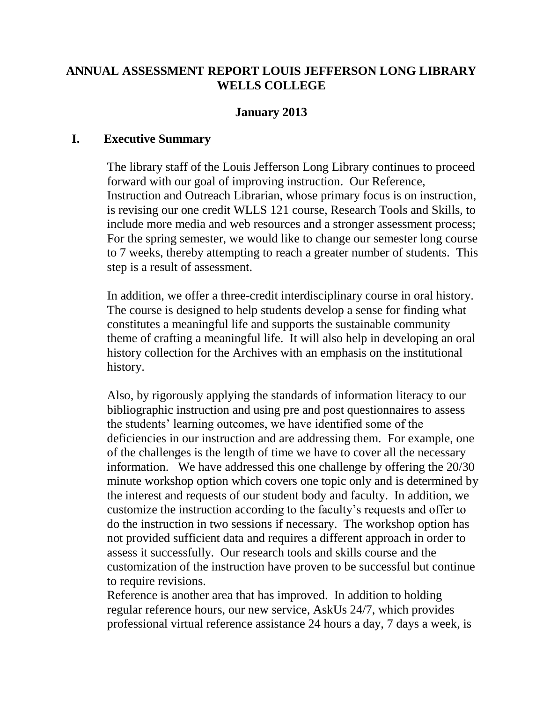# **ANNUAL ASSESSMENT REPORT LOUIS JEFFERSON LONG LIBRARY WELLS COLLEGE**

# **January 2013**

#### **I. Executive Summary**

The library staff of the Louis Jefferson Long Library continues to proceed forward with our goal of improving instruction. Our Reference, Instruction and Outreach Librarian, whose primary focus is on instruction, is revising our one credit WLLS 121 course, Research Tools and Skills, to include more media and web resources and a stronger assessment process; For the spring semester, we would like to change our semester long course to 7 weeks, thereby attempting to reach a greater number of students. This step is a result of assessment.

In addition, we offer a three-credit interdisciplinary course in oral history. The course is designed to help students develop a sense for finding what constitutes a meaningful life and supports the sustainable community theme of crafting a meaningful life. It will also help in developing an oral history collection for the Archives with an emphasis on the institutional history.

Also, by rigorously applying the standards of information literacy to our bibliographic instruction and using pre and post questionnaires to assess the students' learning outcomes, we have identified some of the deficiencies in our instruction and are addressing them. For example, one of the challenges is the length of time we have to cover all the necessary information. We have addressed this one challenge by offering the 20/30 minute workshop option which covers one topic only and is determined by the interest and requests of our student body and faculty. In addition, we customize the instruction according to the faculty's requests and offer to do the instruction in two sessions if necessary. The workshop option has not provided sufficient data and requires a different approach in order to assess it successfully. Our research tools and skills course and the customization of the instruction have proven to be successful but continue to require revisions.

Reference is another area that has improved. In addition to holding regular reference hours, our new service, AskUs 24/7, which provides professional virtual reference assistance 24 hours a day, 7 days a week, is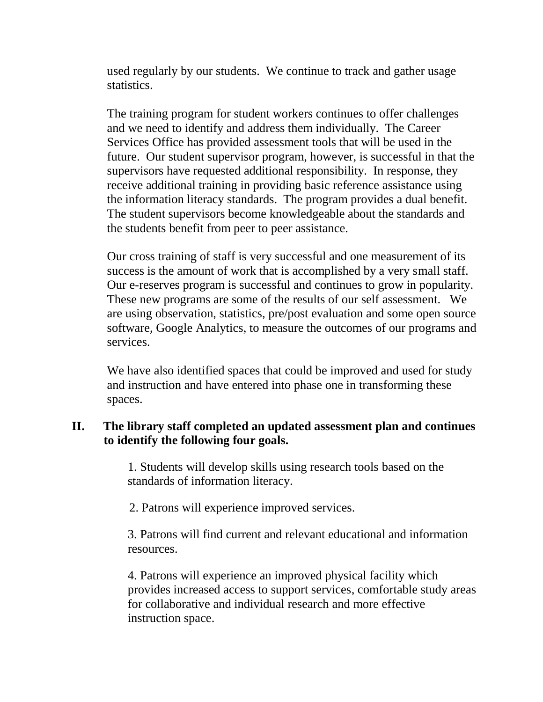used regularly by our students. We continue to track and gather usage statistics.

The training program for student workers continues to offer challenges and we need to identify and address them individually. The Career Services Office has provided assessment tools that will be used in the future. Our student supervisor program, however, is successful in that the supervisors have requested additional responsibility. In response, they receive additional training in providing basic reference assistance using the information literacy standards. The program provides a dual benefit. The student supervisors become knowledgeable about the standards and the students benefit from peer to peer assistance.

Our cross training of staff is very successful and one measurement of its success is the amount of work that is accomplished by a very small staff. Our e-reserves program is successful and continues to grow in popularity. These new programs are some of the results of our self assessment. We are using observation, statistics, pre/post evaluation and some open source software, Google Analytics, to measure the outcomes of our programs and services.

We have also identified spaces that could be improved and used for study and instruction and have entered into phase one in transforming these spaces.

# **II. The library staff completed an updated assessment plan and continues to identify the following four goals.**

1. Students will develop skills using research tools based on the standards of information literacy.

2. Patrons will experience improved services.

3. Patrons will find current and relevant educational and information resources.

4. Patrons will experience an improved physical facility which provides increased access to support services, comfortable study areas for collaborative and individual research and more effective instruction space.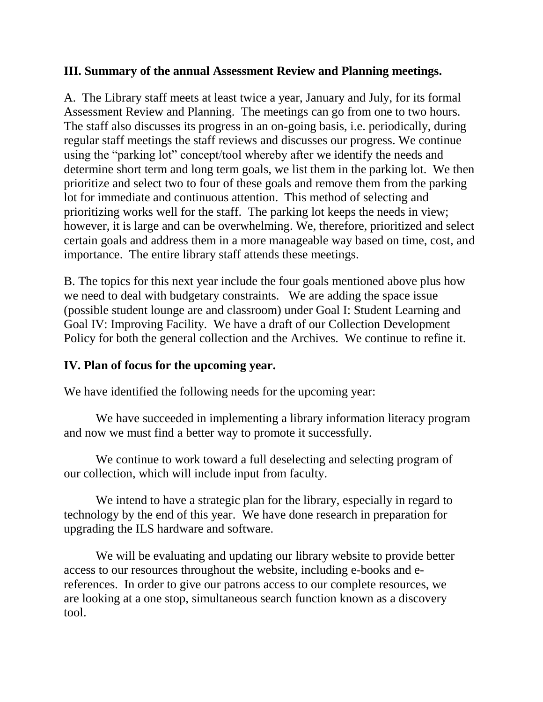## **III. Summary of the annual Assessment Review and Planning meetings.**

A. The Library staff meets at least twice a year, January and July, for its formal Assessment Review and Planning. The meetings can go from one to two hours. The staff also discusses its progress in an on-going basis, i.e. periodically, during regular staff meetings the staff reviews and discusses our progress. We continue using the "parking lot" concept/tool whereby after we identify the needs and determine short term and long term goals, we list them in the parking lot. We then prioritize and select two to four of these goals and remove them from the parking lot for immediate and continuous attention. This method of selecting and prioritizing works well for the staff. The parking lot keeps the needs in view; however, it is large and can be overwhelming. We, therefore, prioritized and select certain goals and address them in a more manageable way based on time, cost, and importance. The entire library staff attends these meetings.

B. The topics for this next year include the four goals mentioned above plus how we need to deal with budgetary constraints. We are adding the space issue (possible student lounge are and classroom) under Goal I: Student Learning and Goal IV: Improving Facility. We have a draft of our Collection Development Policy for both the general collection and the Archives. We continue to refine it.

## **IV. Plan of focus for the upcoming year.**

We have identified the following needs for the upcoming year:

We have succeeded in implementing a library information literacy program and now we must find a better way to promote it successfully.

We continue to work toward a full deselecting and selecting program of our collection, which will include input from faculty.

We intend to have a strategic plan for the library, especially in regard to technology by the end of this year. We have done research in preparation for upgrading the ILS hardware and software.

We will be evaluating and updating our library website to provide better access to our resources throughout the website, including e-books and ereferences. In order to give our patrons access to our complete resources, we are looking at a one stop, simultaneous search function known as a discovery tool.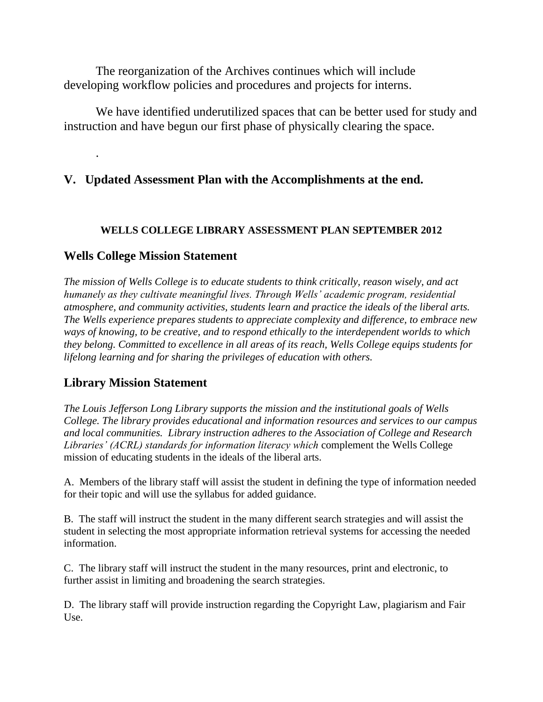The reorganization of the Archives continues which will include developing workflow policies and procedures and projects for interns.

We have identified underutilized spaces that can be better used for study and instruction and have begun our first phase of physically clearing the space.

## **V. Updated Assessment Plan with the Accomplishments at the end.**

#### **WELLS COLLEGE LIBRARY ASSESSMENT PLAN SEPTEMBER 2012**

#### **Wells College Mission Statement**

.

*The mission of Wells College is to educate students to think critically, reason wisely, and act humanely as they cultivate meaningful lives. Through Wells' academic program, residential atmosphere, and community activities, students learn and practice the ideals of the liberal arts. The Wells experience prepares students to appreciate complexity and difference, to embrace new ways of knowing, to be creative, and to respond ethically to the interdependent worlds to which they belong. Committed to excellence in all areas of its reach, Wells College equips students for lifelong learning and for sharing the privileges of education with others.* 

## **Library Mission Statement**

*The Louis Jefferson Long Library supports the mission and the institutional goals of Wells College. The library provides educational and information resources and services to our campus and local communities. Library instruction adheres to the Association of College and Research Libraries' (ACRL) standards for information literacy which* complement the Wells College mission of educating students in the ideals of the liberal arts.

A. Members of the library staff will assist the student in defining the type of information needed for their topic and will use the syllabus for added guidance.

B. The staff will instruct the student in the many different search strategies and will assist the student in selecting the most appropriate information retrieval systems for accessing the needed information.

C. The library staff will instruct the student in the many resources, print and electronic, to further assist in limiting and broadening the search strategies.

D. The library staff will provide instruction regarding the Copyright Law, plagiarism and Fair Use.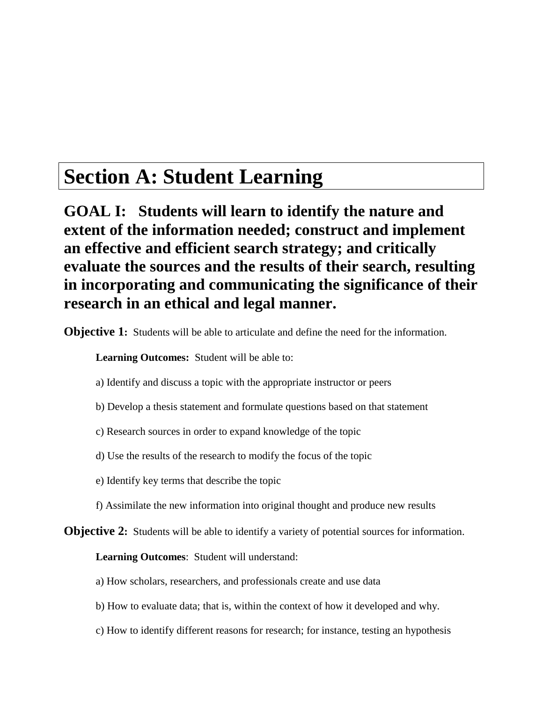# **Section A: Student Learning**

**GOAL I: Students will learn to identify the nature and extent of the information needed; construct and implement an effective and efficient search strategy; and critically evaluate the sources and the results of their search, resulting in incorporating and communicating the significance of their research in an ethical and legal manner.**

**Objective 1:** Students will be able to articulate and define the need for the information.

**Learning Outcomes:** Student will be able to:

- a) Identify and discuss a topic with the appropriate instructor or peers
- b) Develop a thesis statement and formulate questions based on that statement
- c) Research sources in order to expand knowledge of the topic
- d) Use the results of the research to modify the focus of the topic
- e) Identify key terms that describe the topic
- f) Assimilate the new information into original thought and produce new results
- **Objective 2:** Students will be able to identify a variety of potential sources for information.

**Learning Outcomes**: Student will understand:

a) How scholars, researchers, and professionals create and use data

- b) How to evaluate data; that is, within the context of how it developed and why.
- c) How to identify different reasons for research; for instance, testing an hypothesis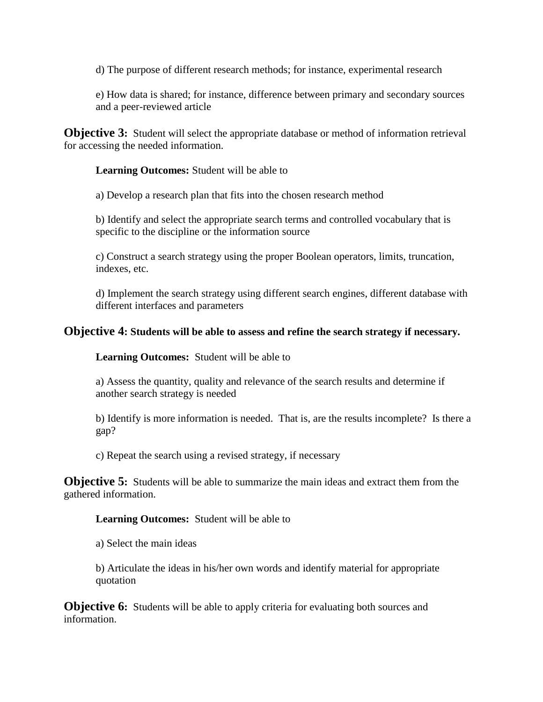d) The purpose of different research methods; for instance, experimental research

e) How data is shared; for instance, difference between primary and secondary sources and a peer-reviewed article

**Objective 3:** Student will select the appropriate database or method of information retrieval for accessing the needed information.

**Learning Outcomes:** Student will be able to

a) Develop a research plan that fits into the chosen research method

b) Identify and select the appropriate search terms and controlled vocabulary that is specific to the discipline or the information source

c) Construct a search strategy using the proper Boolean operators, limits, truncation, indexes, etc.

d) Implement the search strategy using different search engines, different database with different interfaces and parameters

#### **Objective 4: Students will be able to assess and refine the search strategy if necessary.**

**Learning Outcomes:** Student will be able to

a) Assess the quantity, quality and relevance of the search results and determine if another search strategy is needed

b) Identify is more information is needed. That is, are the results incomplete? Is there a gap?

c) Repeat the search using a revised strategy, if necessary

**Objective 5:** Students will be able to summarize the main ideas and extract them from the gathered information.

#### **Learning Outcomes:** Student will be able to

a) Select the main ideas

b) Articulate the ideas in his/her own words and identify material for appropriate quotation

**Objective 6:** Students will be able to apply criteria for evaluating both sources and information.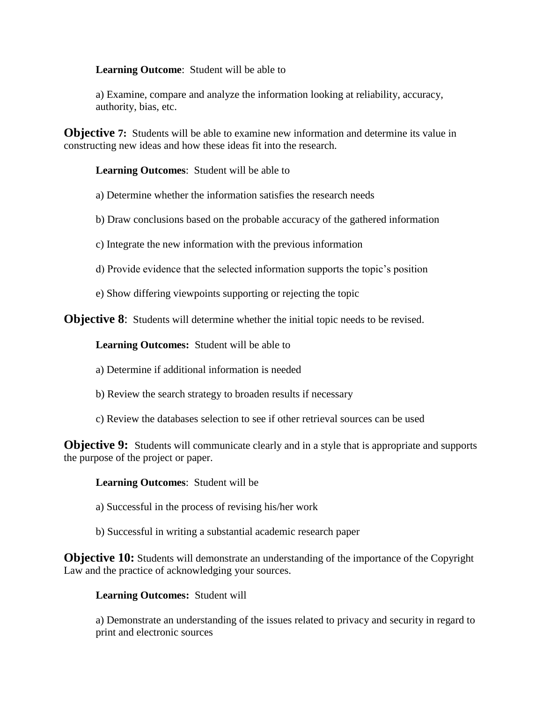**Learning Outcome**: Student will be able to

a) Examine, compare and analyze the information looking at reliability, accuracy, authority, bias, etc.

**Objective 7:** Students will be able to examine new information and determine its value in constructing new ideas and how these ideas fit into the research.

**Learning Outcomes**: Student will be able to

a) Determine whether the information satisfies the research needs

b) Draw conclusions based on the probable accuracy of the gathered information

c) Integrate the new information with the previous information

d) Provide evidence that the selected information supports the topic's position

e) Show differing viewpoints supporting or rejecting the topic

**Objective 8:** Students will determine whether the initial topic needs to be revised.

**Learning Outcomes:** Student will be able to

a) Determine if additional information is needed

- b) Review the search strategy to broaden results if necessary
- c) Review the databases selection to see if other retrieval sources can be used

**Objective 9:** Students will communicate clearly and in a style that is appropriate and supports the purpose of the project or paper.

**Learning Outcomes**: Student will be

a) Successful in the process of revising his/her work

b) Successful in writing a substantial academic research paper

**Objective 10:** Students will demonstrate an understanding of the importance of the Copyright Law and the practice of acknowledging your sources.

#### **Learning Outcomes:** Student will

a) Demonstrate an understanding of the issues related to privacy and security in regard to print and electronic sources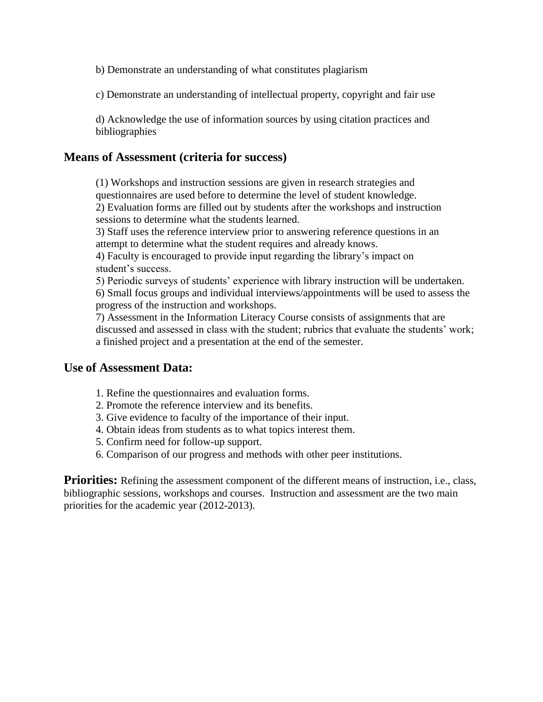b) Demonstrate an understanding of what constitutes plagiarism

c) Demonstrate an understanding of intellectual property, copyright and fair use

d) Acknowledge the use of information sources by using citation practices and bibliographies

#### **Means of Assessment (criteria for success)**

(1) Workshops and instruction sessions are given in research strategies and questionnaires are used before to determine the level of student knowledge. 2) Evaluation forms are filled out by students after the workshops and instruction sessions to determine what the students learned.

3) Staff uses the reference interview prior to answering reference questions in an attempt to determine what the student requires and already knows.

4) Faculty is encouraged to provide input regarding the library's impact on student's success.

5) Periodic surveys of students' experience with library instruction will be undertaken. 6) Small focus groups and individual interviews/appointments will be used to assess the progress of the instruction and workshops.

7) Assessment in the Information Literacy Course consists of assignments that are discussed and assessed in class with the student; rubrics that evaluate the students' work; a finished project and a presentation at the end of the semester.

#### **Use of Assessment Data:**

- 1. Refine the questionnaires and evaluation forms.
- 2. Promote the reference interview and its benefits.
- 3. Give evidence to faculty of the importance of their input.
- 4. Obtain ideas from students as to what topics interest them.
- 5. Confirm need for follow-up support.
- 6. Comparison of our progress and methods with other peer institutions.

**Priorities:** Refining the assessment component of the different means of instruction, i.e., class, bibliographic sessions, workshops and courses. Instruction and assessment are the two main priorities for the academic year (2012-2013).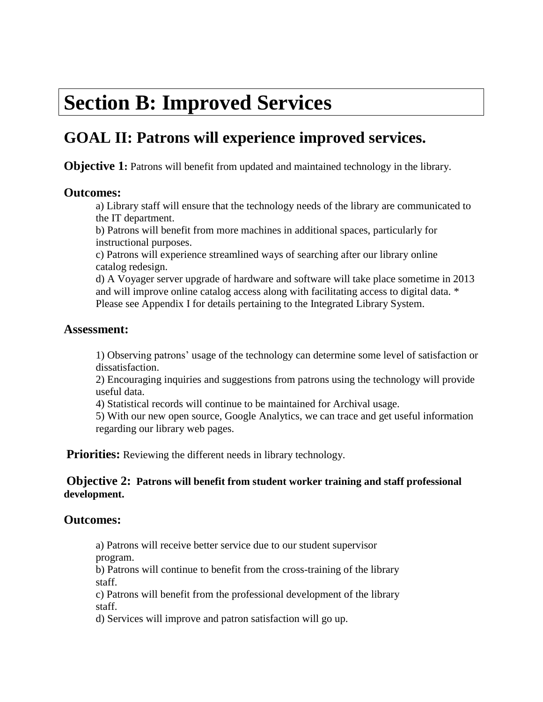# **Section B: Improved Services**

# **GOAL II: Patrons will experience improved services.**

**Objective 1:** Patrons will benefit from updated and maintained technology in the library.

#### **Outcomes:**

a) Library staff will ensure that the technology needs of the library are communicated to the IT department.

b) Patrons will benefit from more machines in additional spaces, particularly for instructional purposes.

c) Patrons will experience streamlined ways of searching after our library online catalog redesign.

d) A Voyager server upgrade of hardware and software will take place sometime in 2013 and will improve online catalog access along with facilitating access to digital data. \* Please see Appendix I for details pertaining to the Integrated Library System.

#### **Assessment:**

1) Observing patrons' usage of the technology can determine some level of satisfaction or dissatisfaction.

2) Encouraging inquiries and suggestions from patrons using the technology will provide useful data.

4) Statistical records will continue to be maintained for Archival usage.

5) With our new open source, Google Analytics, we can trace and get useful information regarding our library web pages.

**Priorities:** Reviewing the different needs in library technology.

#### **Objective 2: Patrons will benefit from student worker training and staff professional development.**

#### **Outcomes:**

a) Patrons will receive better service due to our student supervisor program.

b) Patrons will continue to benefit from the cross-training of the library staff.

c) Patrons will benefit from the professional development of the library staff.

d) Services will improve and patron satisfaction will go up.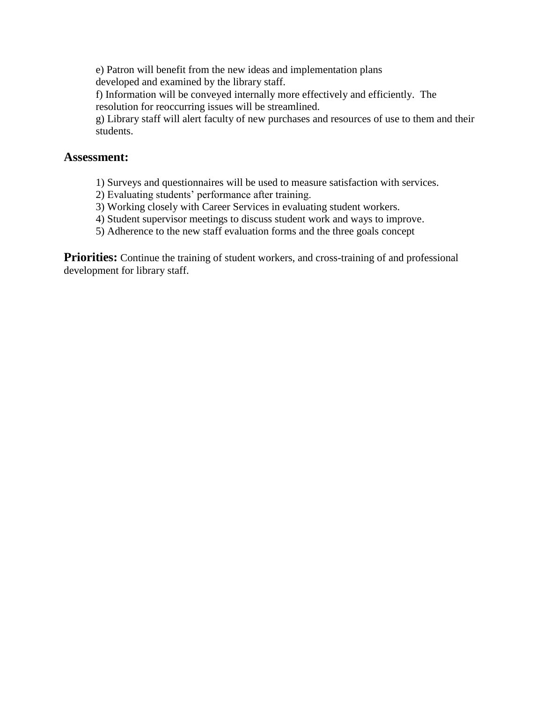e) Patron will benefit from the new ideas and implementation plans developed and examined by the library staff.

f) Information will be conveyed internally more effectively and efficiently. The resolution for reoccurring issues will be streamlined.

g) Library staff will alert faculty of new purchases and resources of use to them and their students.

#### **Assessment:**

- 1) Surveys and questionnaires will be used to measure satisfaction with services.
- 2) Evaluating students' performance after training.
- 3) Working closely with Career Services in evaluating student workers.
- 4) Student supervisor meetings to discuss student work and ways to improve.
- 5) Adherence to the new staff evaluation forms and the three goals concept

**Priorities:** Continue the training of student workers, and cross-training of and professional development for library staff.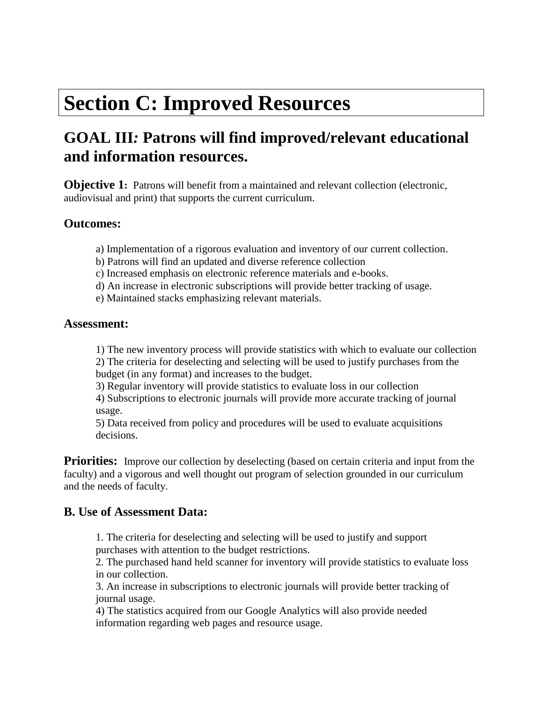# **Section C: Improved Resources**

# **GOAL III***:* **Patrons will find improved/relevant educational and information resources.**

**Objective 1:** Patrons will benefit from a maintained and relevant collection (electronic, audiovisual and print) that supports the current curriculum.

## **Outcomes:**

- a) Implementation of a rigorous evaluation and inventory of our current collection.
- b) Patrons will find an updated and diverse reference collection
- c) Increased emphasis on electronic reference materials and e-books.
- d) An increase in electronic subscriptions will provide better tracking of usage.
- e) Maintained stacks emphasizing relevant materials.

#### **Assessment:**

1) The new inventory process will provide statistics with which to evaluate our collection

2) The criteria for deselecting and selecting will be used to justify purchases from the budget (in any format) and increases to the budget.

3) Regular inventory will provide statistics to evaluate loss in our collection

4) Subscriptions to electronic journals will provide more accurate tracking of journal usage.

5) Data received from policy and procedures will be used to evaluate acquisitions decisions.

**Priorities:** Improve our collection by deselecting (based on certain criteria and input from the faculty) and a vigorous and well thought out program of selection grounded in our curriculum and the needs of faculty.

## **B. Use of Assessment Data:**

1. The criteria for deselecting and selecting will be used to justify and support purchases with attention to the budget restrictions.

2. The purchased hand held scanner for inventory will provide statistics to evaluate loss in our collection.

3. An increase in subscriptions to electronic journals will provide better tracking of journal usage.

4) The statistics acquired from our Google Analytics will also provide needed information regarding web pages and resource usage.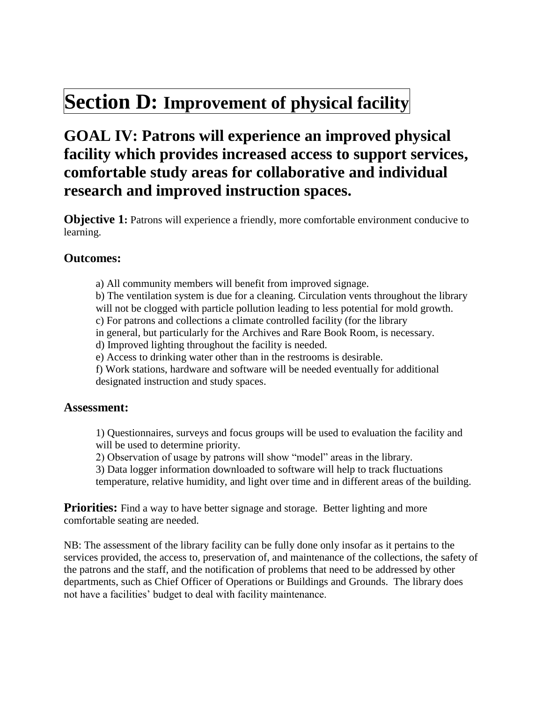# **Section D: Improvement of physical facility**

# **GOAL IV: Patrons will experience an improved physical facility which provides increased access to support services, comfortable study areas for collaborative and individual research and improved instruction spaces.**

**Objective 1:** Patrons will experience a friendly, more comfortable environment conducive to learning.

## **Outcomes:**

a) All community members will benefit from improved signage.

b) The ventilation system is due for a cleaning. Circulation vents throughout the library will not be clogged with particle pollution leading to less potential for mold growth.

c) For patrons and collections a climate controlled facility (for the library

in general, but particularly for the Archives and Rare Book Room, is necessary.

d) Improved lighting throughout the facility is needed.

e) Access to drinking water other than in the restrooms is desirable.

f) Work stations, hardware and software will be needed eventually for additional designated instruction and study spaces.

#### **Assessment:**

1) Questionnaires, surveys and focus groups will be used to evaluation the facility and will be used to determine priority.

2) Observation of usage by patrons will show "model" areas in the library.

3) Data logger information downloaded to software will help to track fluctuations temperature, relative humidity, and light over time and in different areas of the building.

**Priorities:** Find a way to have better signage and storage. Better lighting and more comfortable seating are needed.

NB: The assessment of the library facility can be fully done only insofar as it pertains to the services provided, the access to, preservation of, and maintenance of the collections, the safety of the patrons and the staff, and the notification of problems that need to be addressed by other departments, such as Chief Officer of Operations or Buildings and Grounds. The library does not have a facilities' budget to deal with facility maintenance.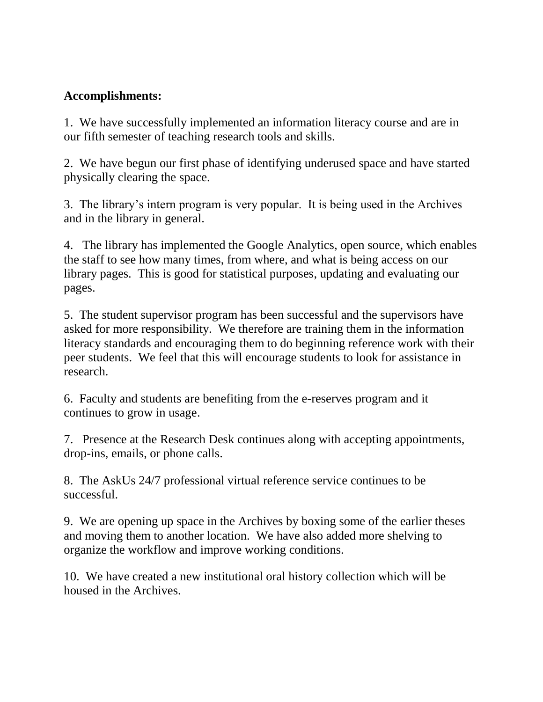# **Accomplishments:**

1. We have successfully implemented an information literacy course and are in our fifth semester of teaching research tools and skills.

2. We have begun our first phase of identifying underused space and have started physically clearing the space.

3. The library's intern program is very popular. It is being used in the Archives and in the library in general.

4. The library has implemented the Google Analytics, open source, which enables the staff to see how many times, from where, and what is being access on our library pages. This is good for statistical purposes, updating and evaluating our pages.

5. The student supervisor program has been successful and the supervisors have asked for more responsibility. We therefore are training them in the information literacy standards and encouraging them to do beginning reference work with their peer students. We feel that this will encourage students to look for assistance in research.

6. Faculty and students are benefiting from the e-reserves program and it continues to grow in usage.

7. Presence at the Research Desk continues along with accepting appointments, drop-ins, emails, or phone calls.

8. The AskUs 24/7 professional virtual reference service continues to be successful.

9. We are opening up space in the Archives by boxing some of the earlier theses and moving them to another location. We have also added more shelving to organize the workflow and improve working conditions.

10. We have created a new institutional oral history collection which will be housed in the Archives.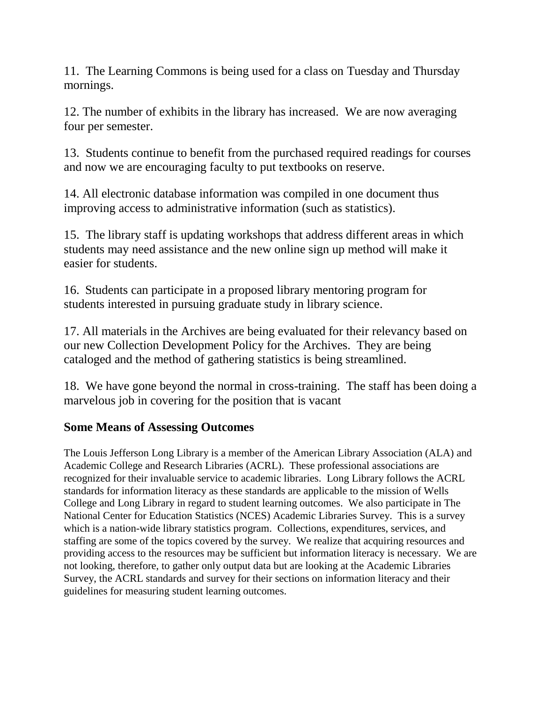11. The Learning Commons is being used for a class on Tuesday and Thursday mornings.

12. The number of exhibits in the library has increased. We are now averaging four per semester.

13. Students continue to benefit from the purchased required readings for courses and now we are encouraging faculty to put textbooks on reserve.

14. All electronic database information was compiled in one document thus improving access to administrative information (such as statistics).

15. The library staff is updating workshops that address different areas in which students may need assistance and the new online sign up method will make it easier for students.

16. Students can participate in a proposed library mentoring program for students interested in pursuing graduate study in library science.

17. All materials in the Archives are being evaluated for their relevancy based on our new Collection Development Policy for the Archives. They are being cataloged and the method of gathering statistics is being streamlined.

18. We have gone beyond the normal in cross-training. The staff has been doing a marvelous job in covering for the position that is vacant

## **Some Means of Assessing Outcomes**

The Louis Jefferson Long Library is a member of the American Library Association (ALA) and Academic College and Research Libraries (ACRL). These professional associations are recognized for their invaluable service to academic libraries. Long Library follows the ACRL standards for information literacy as these standards are applicable to the mission of Wells College and Long Library in regard to student learning outcomes. We also participate in The National Center for Education Statistics (NCES) Academic Libraries Survey. This is a survey which is a nation-wide library statistics program. Collections, expenditures, services, and staffing are some of the topics covered by the survey. We realize that acquiring resources and providing access to the resources may be sufficient but information literacy is necessary. We are not looking, therefore, to gather only output data but are looking at the Academic Libraries Survey, the ACRL standards and survey for their sections on information literacy and their guidelines for measuring student learning outcomes.